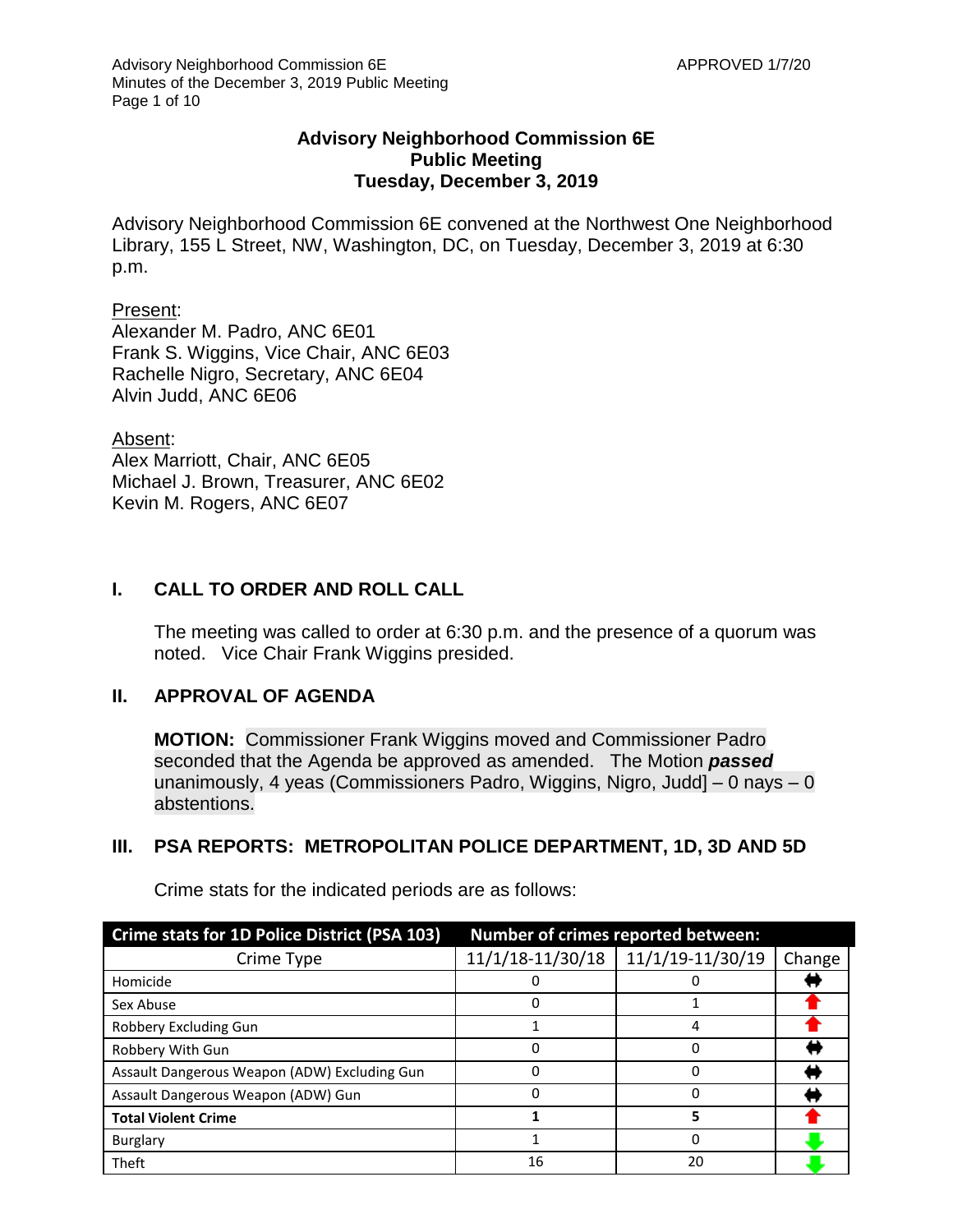## **Advisory Neighborhood Commission 6E Public Meeting Tuesday, December 3, 2019**

Advisory Neighborhood Commission 6E convened at the Northwest One Neighborhood Library, 155 L Street, NW, Washington, DC, on Tuesday, December 3, 2019 at 6:30 p.m.

#### Present:

Alexander M. Padro, ANC 6E01 Frank S. Wiggins, Vice Chair, ANC 6E03 Rachelle Nigro, Secretary, ANC 6E04 Alvin Judd, ANC 6E06

Absent: Alex Marriott, Chair, ANC 6E05 Michael J. Brown, Treasurer, ANC 6E02 Kevin M. Rogers, ANC 6E07

## **I. CALL TO ORDER AND ROLL CALL**

The meeting was called to order at 6:30 p.m. and the presence of a quorum was noted. Vice Chair Frank Wiggins presided.

## **II. APPROVAL OF AGENDA**

**MOTION:** Commissioner Frank Wiggins moved and Commissioner Padro seconded that the Agenda be approved as amended. The Motion *passed* unanimously, 4 yeas (Commissioners Padro, Wiggins, Nigro, Judd] – 0 nays – 0 abstentions.

## **III. PSA REPORTS: METROPOLITAN POLICE DEPARTMENT, 1D, 3D AND 5D**

| Crime stats for 1D Police District (PSA 103) | Number of crimes reported between: |                  |        |
|----------------------------------------------|------------------------------------|------------------|--------|
| Crime Type                                   | 11/1/18-11/30/18                   | 11/1/19-11/30/19 | Change |
| Homicide                                     |                                    |                  |        |
| Sex Abuse                                    | Ω                                  |                  |        |
| Robbery Excluding Gun                        |                                    |                  |        |
| Robbery With Gun                             | n                                  |                  |        |
| Assault Dangerous Weapon (ADW) Excluding Gun | ი                                  |                  |        |
| Assault Dangerous Weapon (ADW) Gun           | n                                  |                  |        |
| <b>Total Violent Crime</b>                   |                                    | 5                |        |
| <b>Burglary</b>                              |                                    | 0                |        |
| Theft                                        | 16                                 | 20               |        |

Crime stats for the indicated periods are as follows: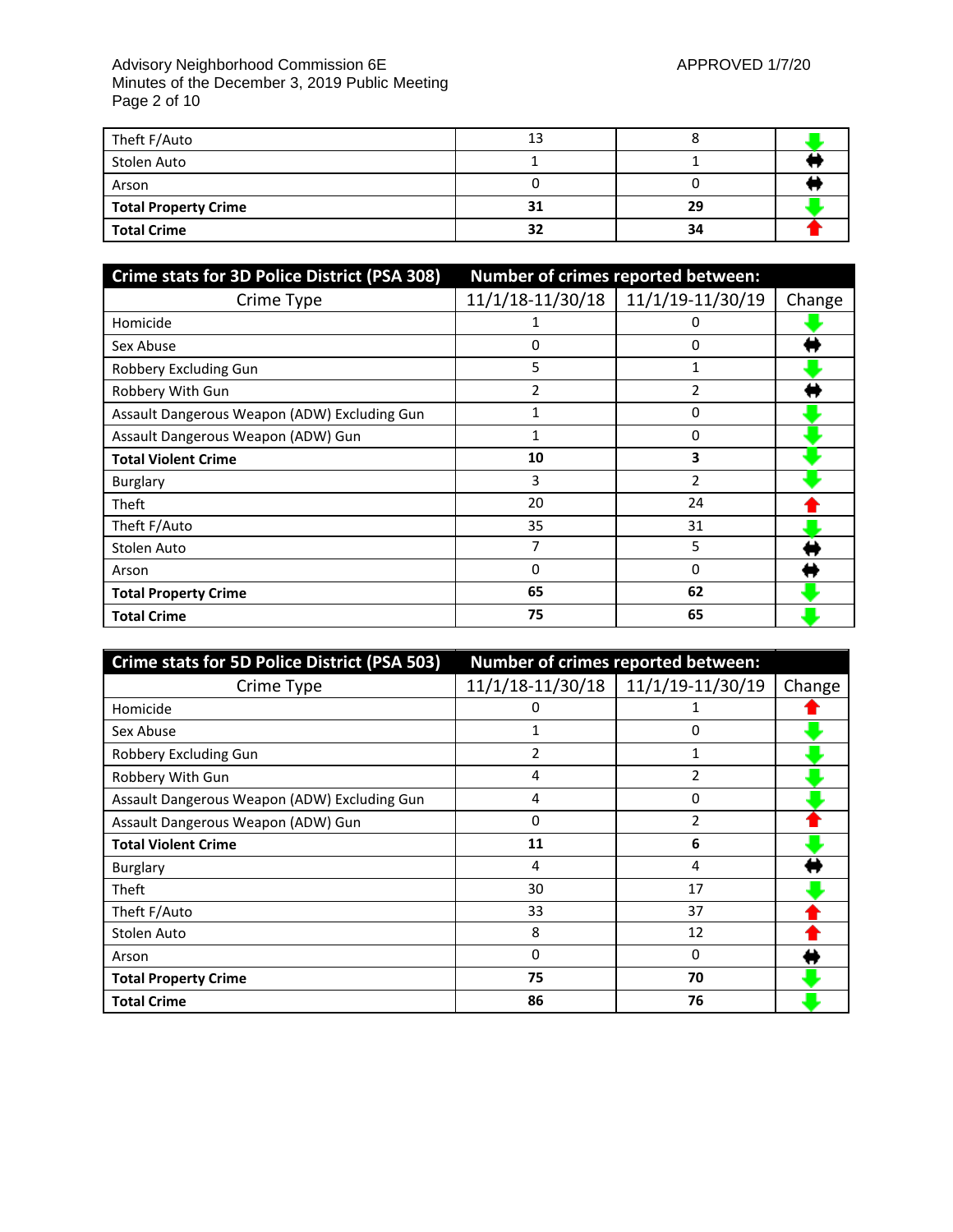#### Advisory Neighborhood Commission 6E APPROVED 1/7/20 Minutes of the December 3, 2019 Public Meeting Page 2 of 10

| Theft F/Auto                | 13 |    |  |
|-----------------------------|----|----|--|
| Stolen Auto                 |    |    |  |
| Arson                       |    |    |  |
| <b>Total Property Crime</b> | 31 | 29 |  |
| <b>Total Crime</b>          | 32 | 34 |  |

| Crime stats for 3D Police District (PSA 308) | Number of crimes reported between: |                  |        |
|----------------------------------------------|------------------------------------|------------------|--------|
| Crime Type                                   | 11/1/18-11/30/18                   | 11/1/19-11/30/19 | Change |
| Homicide                                     |                                    | O                |        |
| Sex Abuse                                    | 0                                  | 0                |        |
| Robbery Excluding Gun                        | 5                                  |                  |        |
| Robbery With Gun                             | 2                                  | 2                |        |
| Assault Dangerous Weapon (ADW) Excluding Gun | 1                                  | 0                |        |
| Assault Dangerous Weapon (ADW) Gun           | 1                                  | 0                |        |
| <b>Total Violent Crime</b>                   | 10                                 | 3                |        |
| Burglary                                     | 3                                  | $\overline{2}$   |        |
| Theft                                        | 20                                 | 24               |        |
| Theft F/Auto                                 | 35                                 | 31               |        |
| Stolen Auto                                  |                                    | 5                |        |
| Arson                                        | 0                                  | 0                |        |
| <b>Total Property Crime</b>                  | 65                                 | 62               |        |
| <b>Total Crime</b>                           | 75                                 | 65               |        |

| Crime stats for 5D Police District (PSA 503) | Number of crimes reported between: |                  |        |
|----------------------------------------------|------------------------------------|------------------|--------|
| Crime Type                                   | 11/1/18-11/30/18                   | 11/1/19-11/30/19 | Change |
| Homicide                                     | 0                                  |                  |        |
| Sex Abuse                                    | 1                                  | 0                |        |
| Robbery Excluding Gun                        | 2                                  |                  |        |
| Robbery With Gun                             | 4                                  | 2                |        |
| Assault Dangerous Weapon (ADW) Excluding Gun | 4                                  | $\Omega$         |        |
| Assault Dangerous Weapon (ADW) Gun           | 0                                  | 2                |        |
| <b>Total Violent Crime</b>                   | 11                                 | 6                |        |
| Burglary                                     | 4                                  | 4                |        |
| Theft                                        | 30                                 | 17               |        |
| Theft F/Auto                                 | 33                                 | 37               |        |
| Stolen Auto                                  | 8                                  | 12               |        |
| Arson                                        | 0                                  | 0                |        |
| <b>Total Property Crime</b>                  | 75                                 | 70               |        |
| <b>Total Crime</b>                           | 86                                 | 76               |        |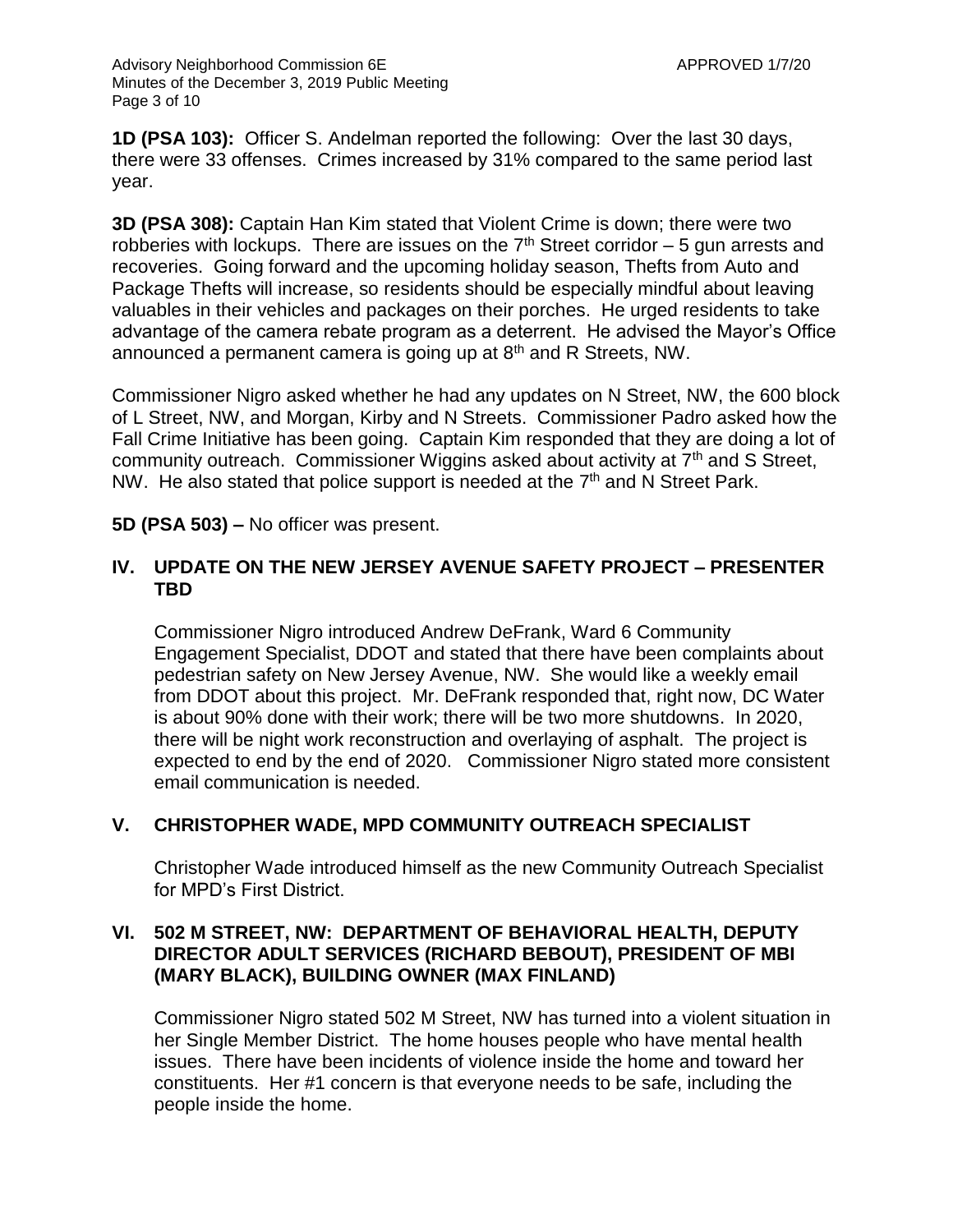**1D (PSA 103):** Officer S. Andelman reported the following: Over the last 30 days, there were 33 offenses. Crimes increased by 31% compared to the same period last year.

**3D (PSA 308):** Captain Han Kim stated that Violent Crime is down; there were two robberies with lockups. There are issues on the  $7<sup>th</sup>$  Street corridor – 5 gun arrests and recoveries. Going forward and the upcoming holiday season, Thefts from Auto and Package Thefts will increase, so residents should be especially mindful about leaving valuables in their vehicles and packages on their porches. He urged residents to take advantage of the camera rebate program as a deterrent. He advised the Mayor's Office announced a permanent camera is going up at 8<sup>th</sup> and R Streets, NW.

Commissioner Nigro asked whether he had any updates on N Street, NW, the 600 block of L Street, NW, and Morgan, Kirby and N Streets. Commissioner Padro asked how the Fall Crime Initiative has been going. Captain Kim responded that they are doing a lot of community outreach. Commissioner Wiggins asked about activity at 7th and S Street, NW. He also stated that police support is needed at the  $7<sup>th</sup>$  and N Street Park.

**5D (PSA 503) –** No officer was present.

## **IV. UPDATE ON THE NEW JERSEY AVENUE SAFETY PROJECT – PRESENTER TBD**

Commissioner Nigro introduced Andrew DeFrank, Ward 6 Community Engagement Specialist, DDOT and stated that there have been complaints about pedestrian safety on New Jersey Avenue, NW. She would like a weekly email from DDOT about this project. Mr. DeFrank responded that, right now, DC Water is about 90% done with their work; there will be two more shutdowns. In 2020, there will be night work reconstruction and overlaying of asphalt. The project is expected to end by the end of 2020. Commissioner Nigro stated more consistent email communication is needed.

# **V. CHRISTOPHER WADE, MPD COMMUNITY OUTREACH SPECIALIST**

Christopher Wade introduced himself as the new Community Outreach Specialist for MPD's First District.

## **VI. 502 M STREET, NW: DEPARTMENT OF BEHAVIORAL HEALTH, DEPUTY DIRECTOR ADULT SERVICES (RICHARD BEBOUT), PRESIDENT OF MBI (MARY BLACK), BUILDING OWNER (MAX FINLAND)**

Commissioner Nigro stated 502 M Street, NW has turned into a violent situation in her Single Member District. The home houses people who have mental health issues. There have been incidents of violence inside the home and toward her constituents. Her #1 concern is that everyone needs to be safe, including the people inside the home.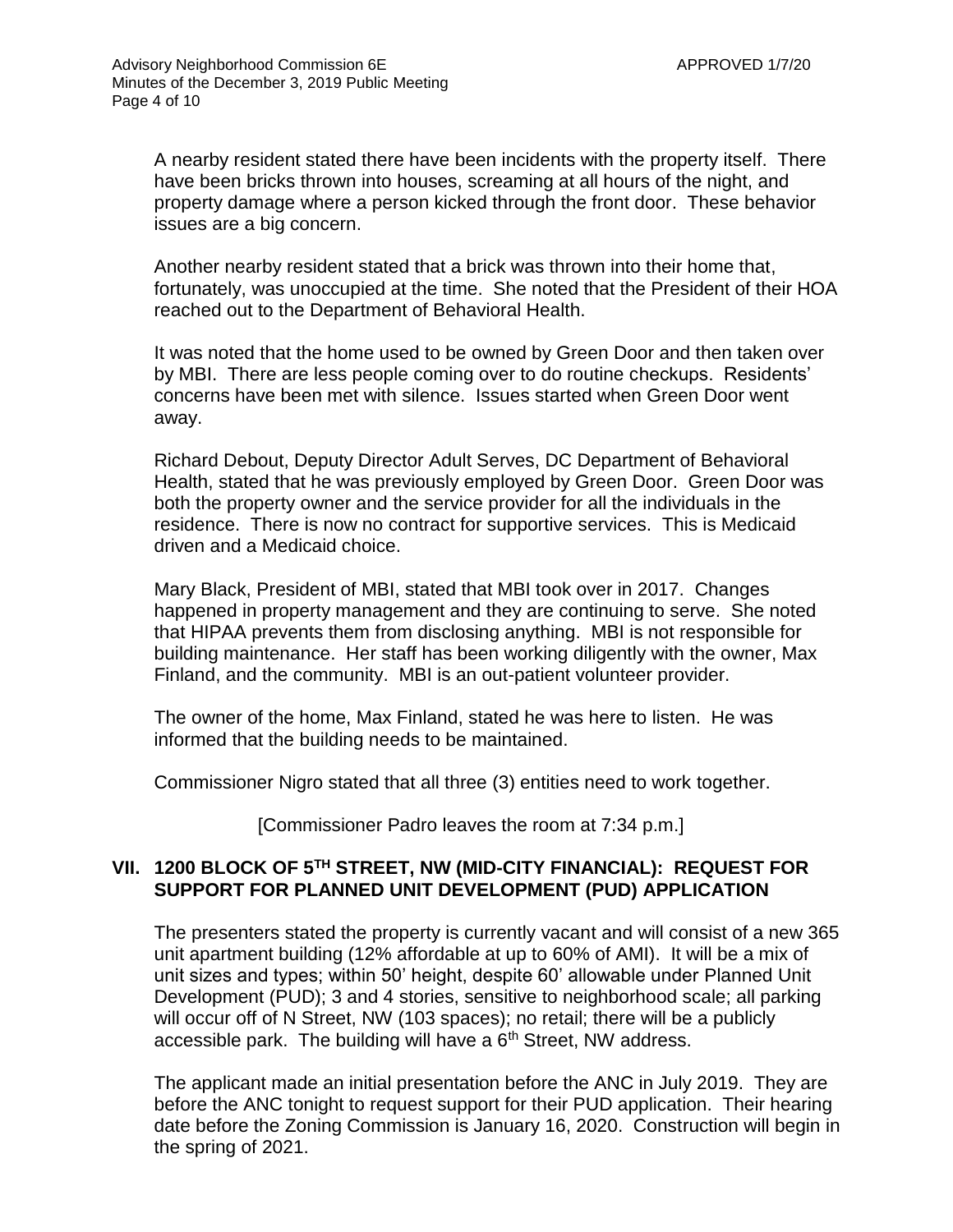A nearby resident stated there have been incidents with the property itself. There have been bricks thrown into houses, screaming at all hours of the night, and property damage where a person kicked through the front door. These behavior issues are a big concern.

Another nearby resident stated that a brick was thrown into their home that, fortunately, was unoccupied at the time. She noted that the President of their HOA reached out to the Department of Behavioral Health.

It was noted that the home used to be owned by Green Door and then taken over by MBI. There are less people coming over to do routine checkups. Residents' concerns have been met with silence. Issues started when Green Door went away.

Richard Debout, Deputy Director Adult Serves, DC Department of Behavioral Health, stated that he was previously employed by Green Door. Green Door was both the property owner and the service provider for all the individuals in the residence. There is now no contract for supportive services. This is Medicaid driven and a Medicaid choice.

Mary Black, President of MBI, stated that MBI took over in 2017. Changes happened in property management and they are continuing to serve. She noted that HIPAA prevents them from disclosing anything. MBI is not responsible for building maintenance. Her staff has been working diligently with the owner, Max Finland, and the community. MBI is an out-patient volunteer provider.

The owner of the home, Max Finland, stated he was here to listen. He was informed that the building needs to be maintained.

Commissioner Nigro stated that all three (3) entities need to work together.

[Commissioner Padro leaves the room at 7:34 p.m.]

# **VII. 1200 BLOCK OF 5TH STREET, NW (MID-CITY FINANCIAL): REQUEST FOR SUPPORT FOR PLANNED UNIT DEVELOPMENT (PUD) APPLICATION**

The presenters stated the property is currently vacant and will consist of a new 365 unit apartment building (12% affordable at up to 60% of AMI). It will be a mix of unit sizes and types; within 50' height, despite 60' allowable under Planned Unit Development (PUD); 3 and 4 stories, sensitive to neighborhood scale; all parking will occur off of N Street, NW (103 spaces); no retail; there will be a publicly accessible park. The building will have a  $6<sup>th</sup>$  Street, NW address.

The applicant made an initial presentation before the ANC in July 2019. They are before the ANC tonight to request support for their PUD application. Their hearing date before the Zoning Commission is January 16, 2020. Construction will begin in the spring of 2021.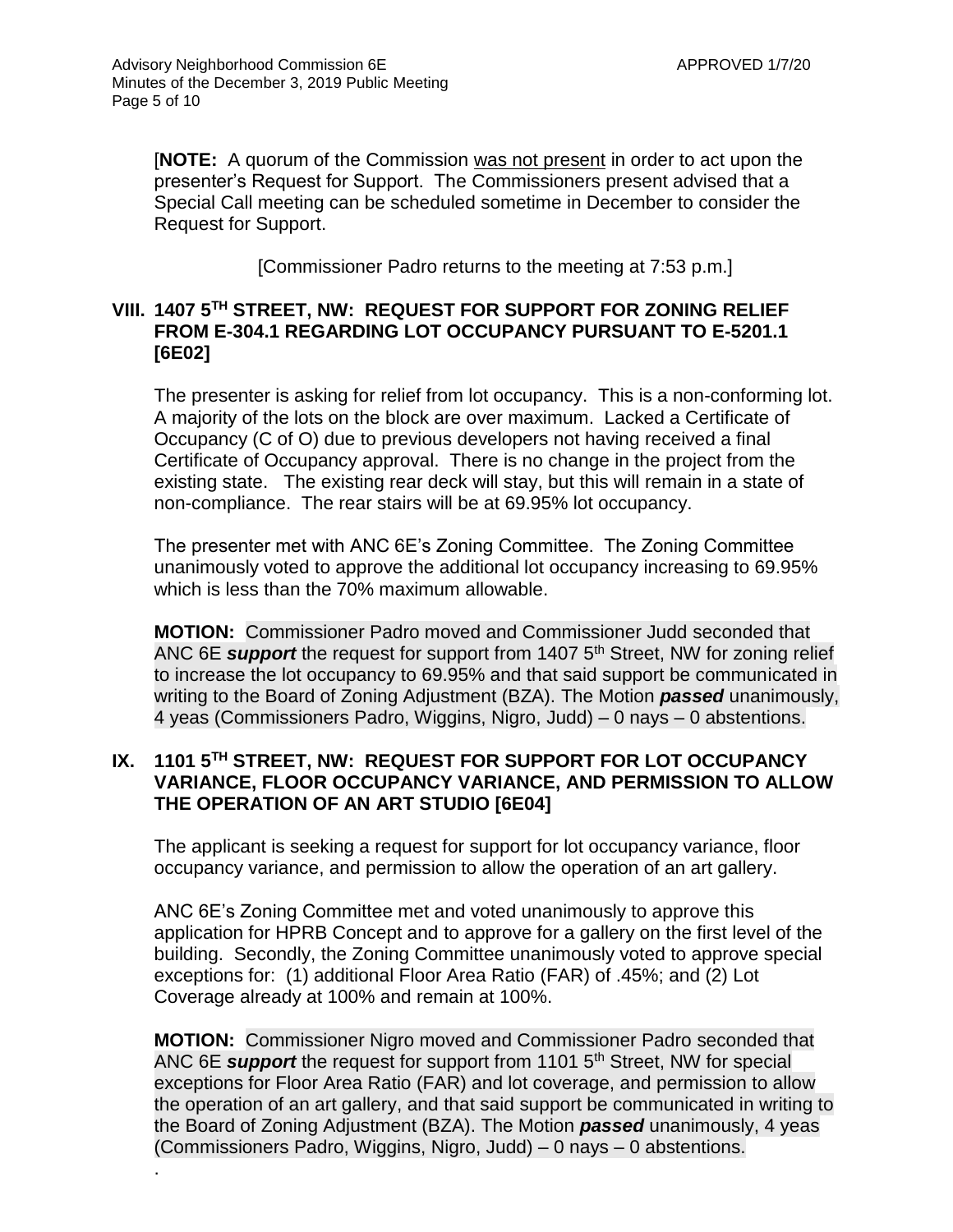.

[**NOTE:** A quorum of the Commission was not present in order to act upon the presenter's Request for Support. The Commissioners present advised that a Special Call meeting can be scheduled sometime in December to consider the Request for Support.

[Commissioner Padro returns to the meeting at 7:53 p.m.]

## **VIII. 1407 5TH STREET, NW: REQUEST FOR SUPPORT FOR ZONING RELIEF FROM E-304.1 REGARDING LOT OCCUPANCY PURSUANT TO E-5201.1 [6E02]**

The presenter is asking for relief from lot occupancy. This is a non-conforming lot. A majority of the lots on the block are over maximum. Lacked a Certificate of Occupancy (C of O) due to previous developers not having received a final Certificate of Occupancy approval. There is no change in the project from the existing state. The existing rear deck will stay, but this will remain in a state of non-compliance. The rear stairs will be at 69.95% lot occupancy.

The presenter met with ANC 6E's Zoning Committee. The Zoning Committee unanimously voted to approve the additional lot occupancy increasing to 69.95% which is less than the 70% maximum allowable.

**MOTION:** Commissioner Padro moved and Commissioner Judd seconded that ANC 6E *support* the request for support from 1407 5<sup>th</sup> Street, NW for zoning relief to increase the lot occupancy to 69.95% and that said support be communicated in writing to the Board of Zoning Adjustment (BZA). The Motion *passed* unanimously, 4 yeas (Commissioners Padro, Wiggins, Nigro, Judd) – 0 nays – 0 abstentions.

## **IX. 1101 5TH STREET, NW: REQUEST FOR SUPPORT FOR LOT OCCUPANCY VARIANCE, FLOOR OCCUPANCY VARIANCE, AND PERMISSION TO ALLOW THE OPERATION OF AN ART STUDIO [6E04]**

The applicant is seeking a request for support for lot occupancy variance, floor occupancy variance, and permission to allow the operation of an art gallery.

ANC 6E's Zoning Committee met and voted unanimously to approve this application for HPRB Concept and to approve for a gallery on the first level of the building. Secondly, the Zoning Committee unanimously voted to approve special exceptions for: (1) additional Floor Area Ratio (FAR) of .45%; and (2) Lot Coverage already at 100% and remain at 100%.

**MOTION:** Commissioner Nigro moved and Commissioner Padro seconded that ANC 6E *support* the request for support from 1101 5th Street, NW for special exceptions for Floor Area Ratio (FAR) and lot coverage, and permission to allow the operation of an art gallery, and that said support be communicated in writing to the Board of Zoning Adjustment (BZA). The Motion *passed* unanimously, 4 yeas (Commissioners Padro, Wiggins, Nigro, Judd) – 0 nays – 0 abstentions.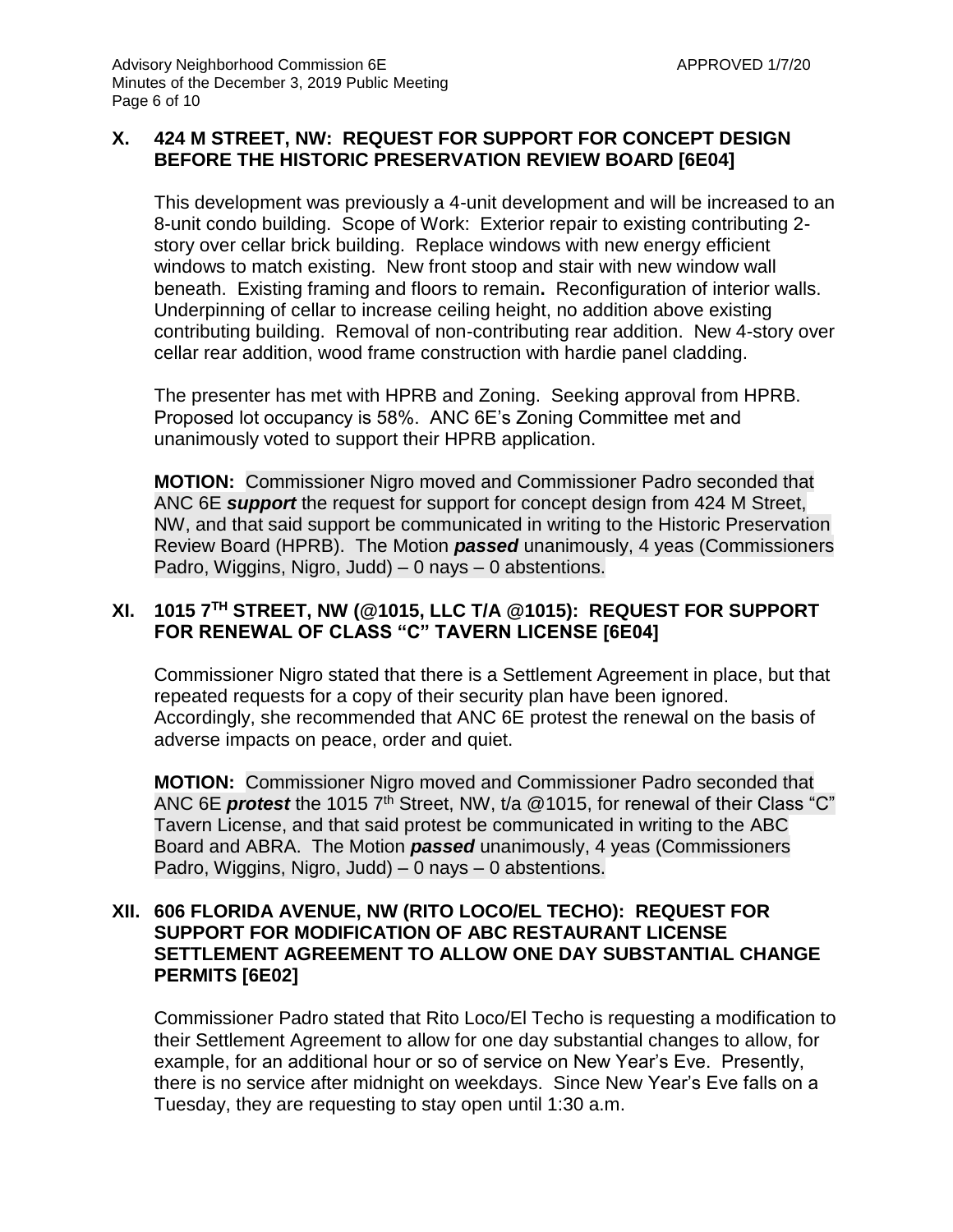## **X. 424 M STREET, NW: REQUEST FOR SUPPORT FOR CONCEPT DESIGN BEFORE THE HISTORIC PRESERVATION REVIEW BOARD [6E04]**

This development was previously a 4-unit development and will be increased to an 8-unit condo building. Scope of Work: Exterior repair to existing contributing 2 story over cellar brick building. Replace windows with new energy efficient windows to match existing. New front stoop and stair with new window wall beneath. Existing framing and floors to remain**.** Reconfiguration of interior walls. Underpinning of cellar to increase ceiling height, no addition above existing contributing building. Removal of non-contributing rear addition. New 4-story over cellar rear addition, wood frame construction with hardie panel cladding.

The presenter has met with HPRB and Zoning. Seeking approval from HPRB. Proposed lot occupancy is 58%. ANC 6E's Zoning Committee met and unanimously voted to support their HPRB application.

**MOTION:** Commissioner Nigro moved and Commissioner Padro seconded that ANC 6E *support* the request for support for concept design from 424 M Street, NW, and that said support be communicated in writing to the Historic Preservation Review Board (HPRB). The Motion *passed* unanimously, 4 yeas (Commissioners Padro, Wiggins, Nigro, Judd) – 0 nays – 0 abstentions.

## **XI. 1015 7TH STREET, NW (@1015, LLC T/A @1015): REQUEST FOR SUPPORT FOR RENEWAL OF CLASS "C" TAVERN LICENSE [6E04]**

Commissioner Nigro stated that there is a Settlement Agreement in place, but that repeated requests for a copy of their security plan have been ignored. Accordingly, she recommended that ANC 6E protest the renewal on the basis of adverse impacts on peace, order and quiet.

**MOTION:** Commissioner Nigro moved and Commissioner Padro seconded that ANC 6E *protest* the 1015 7<sup>th</sup> Street, NW, t/a @1015, for renewal of their Class "C" Tavern License, and that said protest be communicated in writing to the ABC Board and ABRA. The Motion *passed* unanimously, 4 yeas (Commissioners Padro, Wiggins, Nigro, Judd) – 0 nays – 0 abstentions.

## **XII. 606 FLORIDA AVENUE, NW (RITO LOCO/EL TECHO): REQUEST FOR SUPPORT FOR MODIFICATION OF ABC RESTAURANT LICENSE SETTLEMENT AGREEMENT TO ALLOW ONE DAY SUBSTANTIAL CHANGE PERMITS [6E02]**

Commissioner Padro stated that Rito Loco/El Techo is requesting a modification to their Settlement Agreement to allow for one day substantial changes to allow, for example, for an additional hour or so of service on New Year's Eve. Presently, there is no service after midnight on weekdays. Since New Year's Eve falls on a Tuesday, they are requesting to stay open until 1:30 a.m.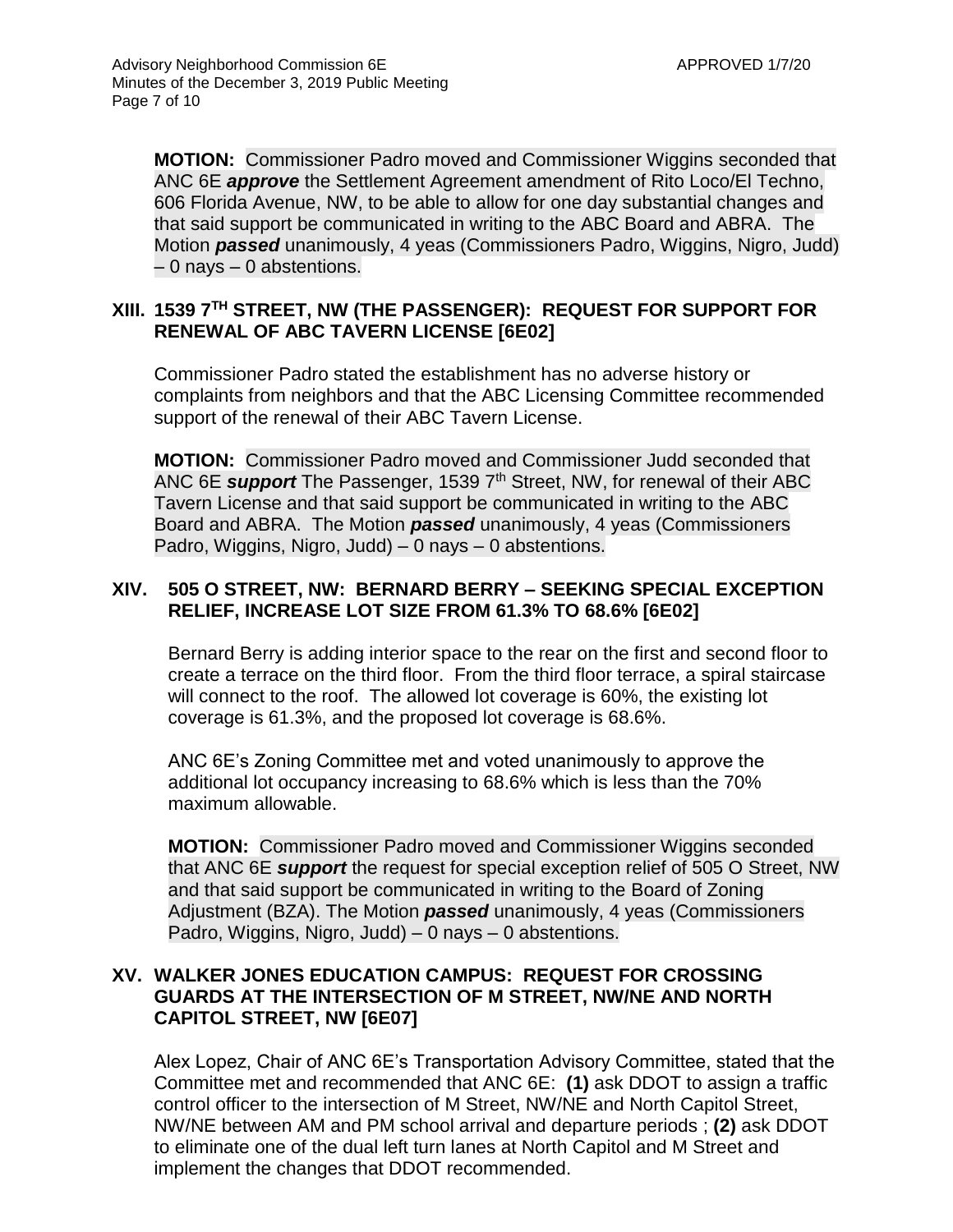**MOTION:** Commissioner Padro moved and Commissioner Wiggins seconded that ANC 6E *approve* the Settlement Agreement amendment of Rito Loco/El Techno, 606 Florida Avenue, NW, to be able to allow for one day substantial changes and that said support be communicated in writing to the ABC Board and ABRA. The Motion *passed* unanimously, 4 yeas (Commissioners Padro, Wiggins, Nigro, Judd) – 0 nays – 0 abstentions.

## **XIII. 1539 7TH STREET, NW (THE PASSENGER): REQUEST FOR SUPPORT FOR RENEWAL OF ABC TAVERN LICENSE [6E02]**

Commissioner Padro stated the establishment has no adverse history or complaints from neighbors and that the ABC Licensing Committee recommended support of the renewal of their ABC Tavern License.

**MOTION:** Commissioner Padro moved and Commissioner Judd seconded that ANC 6E *support* The Passenger, 1539 7<sup>th</sup> Street, NW, for renewal of their ABC Tavern License and that said support be communicated in writing to the ABC Board and ABRA. The Motion *passed* unanimously, 4 yeas (Commissioners Padro, Wiggins, Nigro, Judd) – 0 nays – 0 abstentions.

## **XIV. 505 O STREET, NW: BERNARD BERRY – SEEKING SPECIAL EXCEPTION RELIEF, INCREASE LOT SIZE FROM 61.3% TO 68.6% [6E02]**

Bernard Berry is adding interior space to the rear on the first and second floor to create a terrace on the third floor. From the third floor terrace, a spiral staircase will connect to the roof. The allowed lot coverage is 60%, the existing lot coverage is 61.3%, and the proposed lot coverage is 68.6%.

ANC 6E's Zoning Committee met and voted unanimously to approve the additional lot occupancy increasing to 68.6% which is less than the 70% maximum allowable.

**MOTION:** Commissioner Padro moved and Commissioner Wiggins seconded that ANC 6E *support* the request for special exception relief of 505 O Street, NW and that said support be communicated in writing to the Board of Zoning Adjustment (BZA). The Motion *passed* unanimously, 4 yeas (Commissioners Padro, Wiggins, Nigro, Judd) – 0 nays – 0 abstentions.

## **XV. WALKER JONES EDUCATION CAMPUS: REQUEST FOR CROSSING GUARDS AT THE INTERSECTION OF M STREET, NW/NE AND NORTH CAPITOL STREET, NW [6E07]**

Alex Lopez, Chair of ANC 6E's Transportation Advisory Committee, stated that the Committee met and recommended that ANC 6E: **(1)** ask DDOT to assign a traffic control officer to the intersection of M Street, NW/NE and North Capitol Street, NW/NE between AM and PM school arrival and departure periods ; **(2)** ask DDOT to eliminate one of the dual left turn lanes at North Capitol and M Street and implement the changes that DDOT recommended.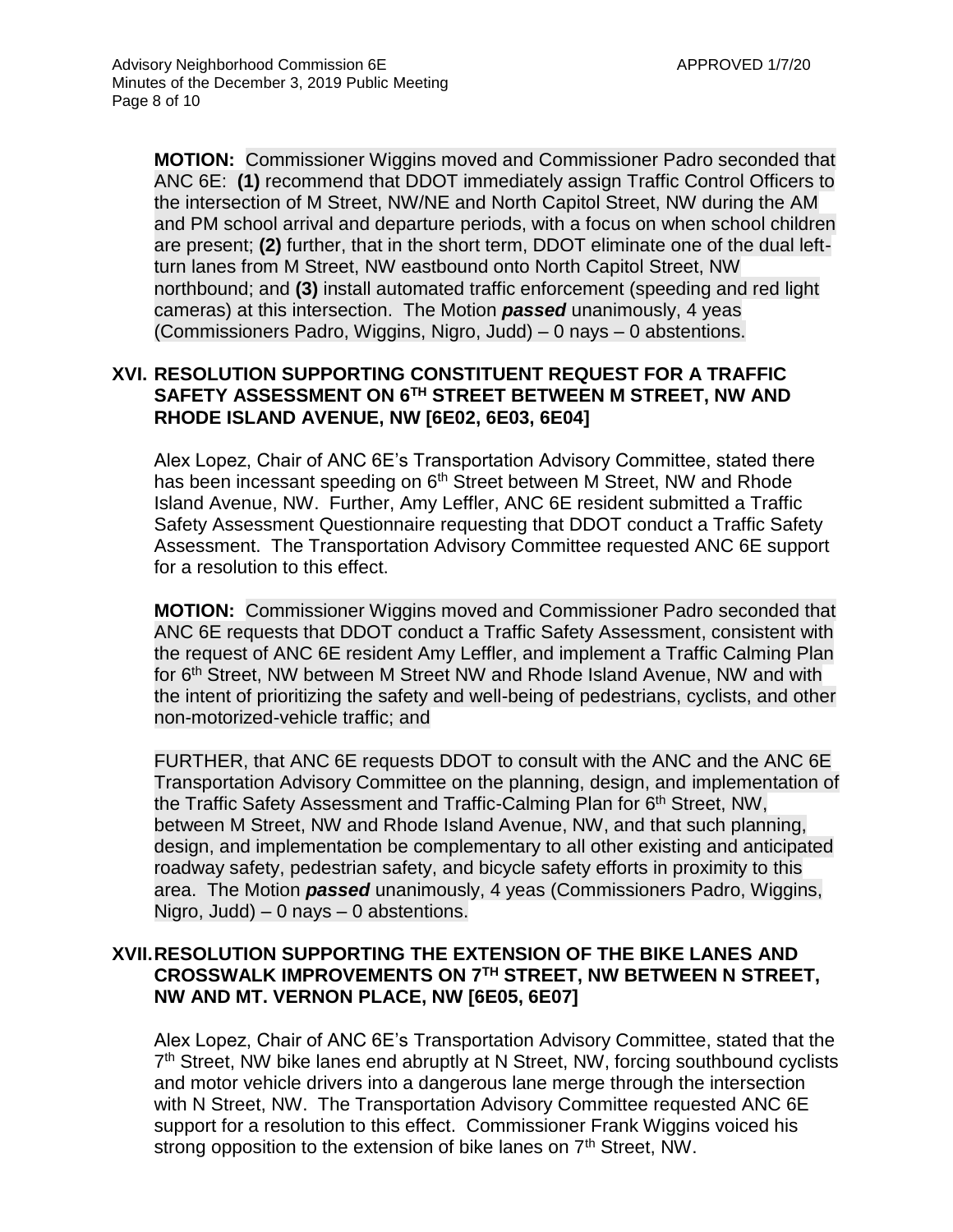**MOTION:** Commissioner Wiggins moved and Commissioner Padro seconded that ANC 6E: **(1)** recommend that DDOT immediately assign Traffic Control Officers to the intersection of M Street, NW/NE and North Capitol Street, NW during the AM and PM school arrival and departure periods, with a focus on when school children are present; **(2)** further, that in the short term, DDOT eliminate one of the dual leftturn lanes from M Street, NW eastbound onto North Capitol Street, NW northbound; and **(3)** install automated traffic enforcement (speeding and red light cameras) at this intersection. The Motion *passed* unanimously, 4 yeas (Commissioners Padro, Wiggins, Nigro, Judd) – 0 nays – 0 abstentions.

## **XVI. RESOLUTION SUPPORTING CONSTITUENT REQUEST FOR A TRAFFIC SAFETY ASSESSMENT ON 6TH STREET BETWEEN M STREET, NW AND RHODE ISLAND AVENUE, NW [6E02, 6E03, 6E04]**

Alex Lopez, Chair of ANC 6E's Transportation Advisory Committee, stated there has been incessant speeding on 6<sup>th</sup> Street between M Street, NW and Rhode Island Avenue, NW. Further, Amy Leffler, ANC 6E resident submitted a Traffic Safety Assessment Questionnaire requesting that DDOT conduct a Traffic Safety Assessment. The Transportation Advisory Committee requested ANC 6E support for a resolution to this effect.

**MOTION:** Commissioner Wiggins moved and Commissioner Padro seconded that ANC 6E requests that DDOT conduct a Traffic Safety Assessment, consistent with the request of ANC 6E resident Amy Leffler, and implement a Traffic Calming Plan for 6th Street, NW between M Street NW and Rhode Island Avenue, NW and with the intent of prioritizing the safety and well-being of pedestrians, cyclists, and other non-motorized-vehicle traffic; and

FURTHER, that ANC 6E requests DDOT to consult with the ANC and the ANC 6E Transportation Advisory Committee on the planning, design, and implementation of the Traffic Safety Assessment and Traffic-Calming Plan for 6<sup>th</sup> Street, NW, between M Street, NW and Rhode Island Avenue, NW, and that such planning, design, and implementation be complementary to all other existing and anticipated roadway safety, pedestrian safety, and bicycle safety efforts in proximity to this area. The Motion *passed* unanimously, 4 yeas (Commissioners Padro, Wiggins, Nigro, Judd)  $-0$  nays  $-0$  abstentions.

## **XVII.RESOLUTION SUPPORTING THE EXTENSION OF THE BIKE LANES AND CROSSWALK IMPROVEMENTS ON 7TH STREET, NW BETWEEN N STREET, NW AND MT. VERNON PLACE, NW [6E05, 6E07]**

Alex Lopez, Chair of ANC 6E's Transportation Advisory Committee, stated that the 7<sup>th</sup> Street, NW bike lanes end abruptly at N Street, NW, forcing southbound cyclists and motor vehicle drivers into a dangerous lane merge through the intersection with N Street, NW. The Transportation Advisory Committee requested ANC 6E support for a resolution to this effect. Commissioner Frank Wiggins voiced his strong opposition to the extension of bike lanes on 7<sup>th</sup> Street, NW.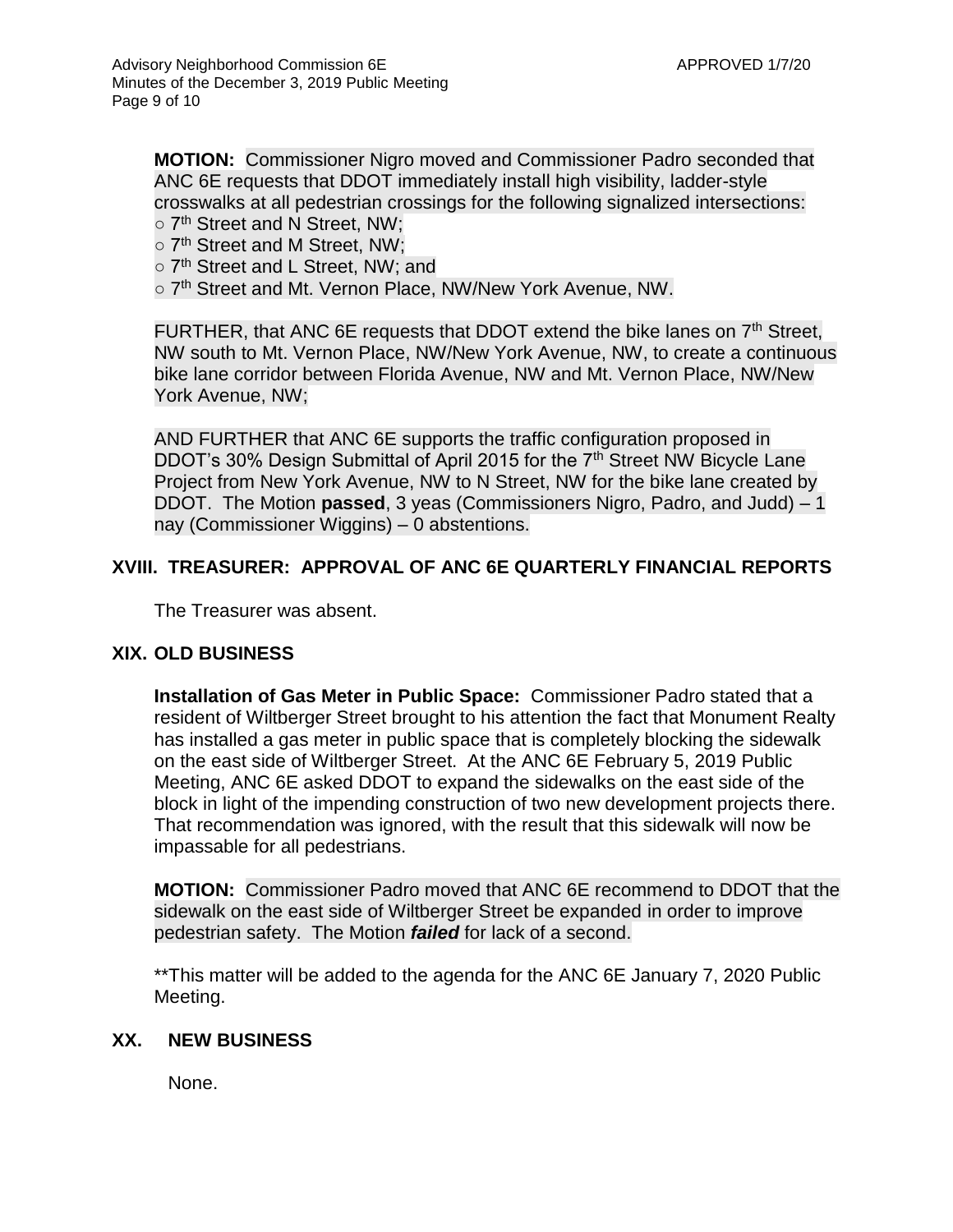**MOTION:** Commissioner Nigro moved and Commissioner Padro seconded that ANC 6E requests that DDOT immediately install high visibility, ladder-style crosswalks at all pedestrian crossings for the following signalized intersections: o 7<sup>th</sup> Street and N Street, NW;

- 
- 7<sup>th</sup> Street and M Street, NW:
- 7<sup>th</sup> Street and L Street, NW; and
- o 7<sup>th</sup> Street and Mt. Vernon Place, NW/New York Avenue, NW.

FURTHER, that ANC 6E requests that DDOT extend the bike lanes on  $7<sup>th</sup>$  Street, NW south to Mt. Vernon Place, NW/New York Avenue, NW, to create a continuous bike lane corridor between Florida Avenue, NW and Mt. Vernon Place, NW/New York Avenue, NW;

AND FURTHER that ANC 6E supports the traffic configuration proposed in DDOT's 30% Design Submittal of April 2015 for the 7<sup>th</sup> Street NW Bicycle Lane Project from New York Avenue, NW to N Street, NW for the bike lane created by DDOT. The Motion **passed**, 3 yeas (Commissioners Nigro, Padro, and Judd) – 1 nay (Commissioner Wiggins) – 0 abstentions.

## **XVIII. TREASURER: APPROVAL OF ANC 6E QUARTERLY FINANCIAL REPORTS**

The Treasurer was absent.

## **XIX. OLD BUSINESS**

**Installation of Gas Meter in Public Space:** Commissioner Padro stated that a resident of Wiltberger Street brought to his attention the fact that Monument Realty has installed a gas meter in public space that is completely blocking the sidewalk on the east side of Wiltberger Street. At the ANC 6E February 5, 2019 Public Meeting, ANC 6E asked DDOT to expand the sidewalks on the east side of the block in light of the impending construction of two new development projects there. That recommendation was ignored, with the result that this sidewalk will now be impassable for all pedestrians.

**MOTION:** Commissioner Padro moved that ANC 6E recommend to DDOT that the sidewalk on the east side of Wiltberger Street be expanded in order to improve pedestrian safety. The Motion *failed* for lack of a second.

\*\*This matter will be added to the agenda for the ANC 6E January 7, 2020 Public Meeting.

## **XX. NEW BUSINESS**

None.